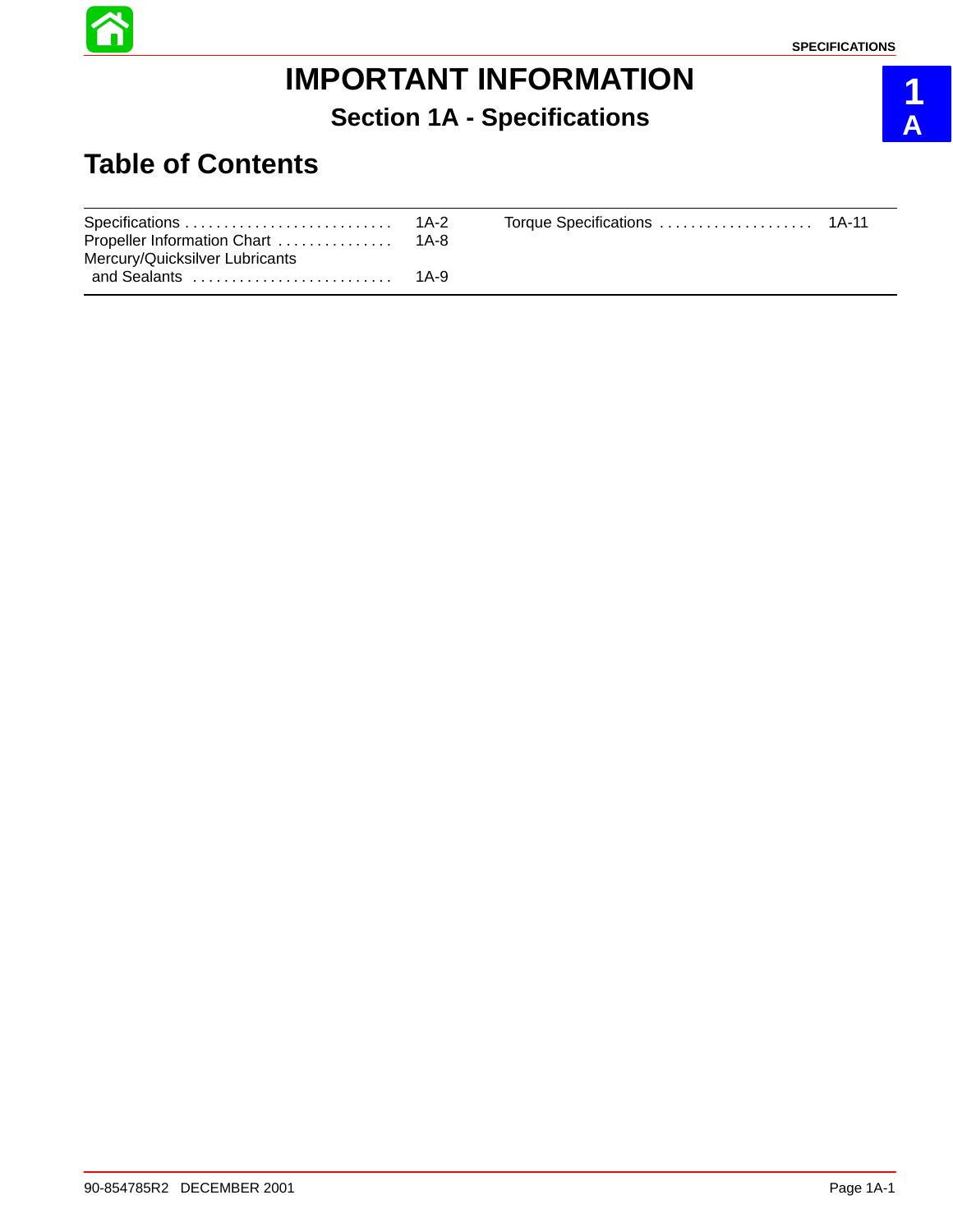

**1**

**A**

## **IMPORTANT INFORMATION Section 1A - Specifications**

#### **Table of Contents**

| Mercury/Quicksilver Lubricants                                             |  |  |
|----------------------------------------------------------------------------|--|--|
| and Sealants $\ldots, \ldots, \ldots, \ldots, \ldots, \ldots, \ldots$ 1A-9 |  |  |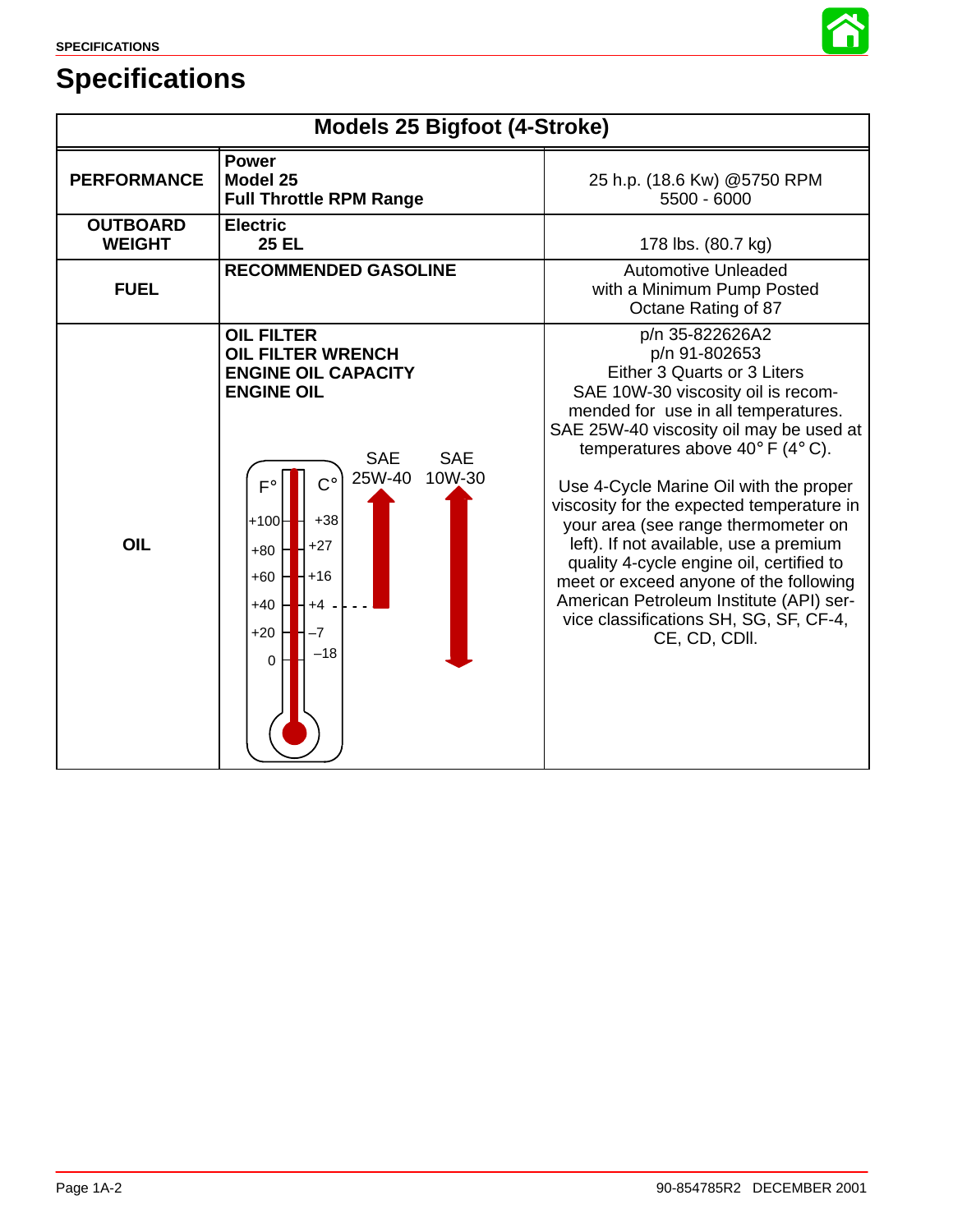### **Specifications**



| <b>Models 25 Bigfoot (4-Stroke)</b> |                                                                                                                                                                                                                                                                                               |                                                                                                                                                                                                                                                                                                                                                                                                                                                                                                                                                                                                                   |  |  |
|-------------------------------------|-----------------------------------------------------------------------------------------------------------------------------------------------------------------------------------------------------------------------------------------------------------------------------------------------|-------------------------------------------------------------------------------------------------------------------------------------------------------------------------------------------------------------------------------------------------------------------------------------------------------------------------------------------------------------------------------------------------------------------------------------------------------------------------------------------------------------------------------------------------------------------------------------------------------------------|--|--|
| <b>PERFORMANCE</b>                  | <b>Power</b><br>Model 25<br><b>Full Throttle RPM Range</b>                                                                                                                                                                                                                                    | 25 h.p. (18.6 Kw) @5750 RPM<br>$5500 - 6000$                                                                                                                                                                                                                                                                                                                                                                                                                                                                                                                                                                      |  |  |
| <b>OUTBOARD</b><br><b>WEIGHT</b>    | <b>Electric</b><br><b>25 EL</b>                                                                                                                                                                                                                                                               | 178 lbs. (80.7 kg)                                                                                                                                                                                                                                                                                                                                                                                                                                                                                                                                                                                                |  |  |
| <b>FUEL</b>                         | <b>RECOMMENDED GASOLINE</b>                                                                                                                                                                                                                                                                   | Automotive Unleaded<br>with a Minimum Pump Posted<br>Octane Rating of 87                                                                                                                                                                                                                                                                                                                                                                                                                                                                                                                                          |  |  |
| <b>OIL</b>                          | <b>OIL FILTER</b><br><b>OIL FILTER WRENCH</b><br><b>ENGINE OIL CAPACITY</b><br><b>ENGINE OIL</b><br><b>SAE</b><br><b>SAE</b><br>25W-40<br>10W-30<br>$\mathsf{C}^\circ$<br>г۰<br>$+38$<br>+100⊢<br>$+27$<br>$+80$<br>$+60$<br>$H + 16$<br>$+40$<br>$H + 4$<br>$+20$<br>-7<br>$-18$<br>$\Omega$ | p/n 35-822626A2<br>p/n 91-802653<br>Either 3 Quarts or 3 Liters<br>SAE 10W-30 viscosity oil is recom-<br>mended for use in all temperatures.<br>SAE 25W-40 viscosity oil may be used at<br>temperatures above 40 $\degree$ F (4 $\degree$ C).<br>Use 4-Cycle Marine Oil with the proper<br>viscosity for the expected temperature in<br>your area (see range thermometer on<br>left). If not available, use a premium<br>quality 4-cycle engine oil, certified to<br>meet or exceed anyone of the following<br>American Petroleum Institute (API) ser-<br>vice classifications SH, SG, SF, CF-4,<br>CE, CD, CDII. |  |  |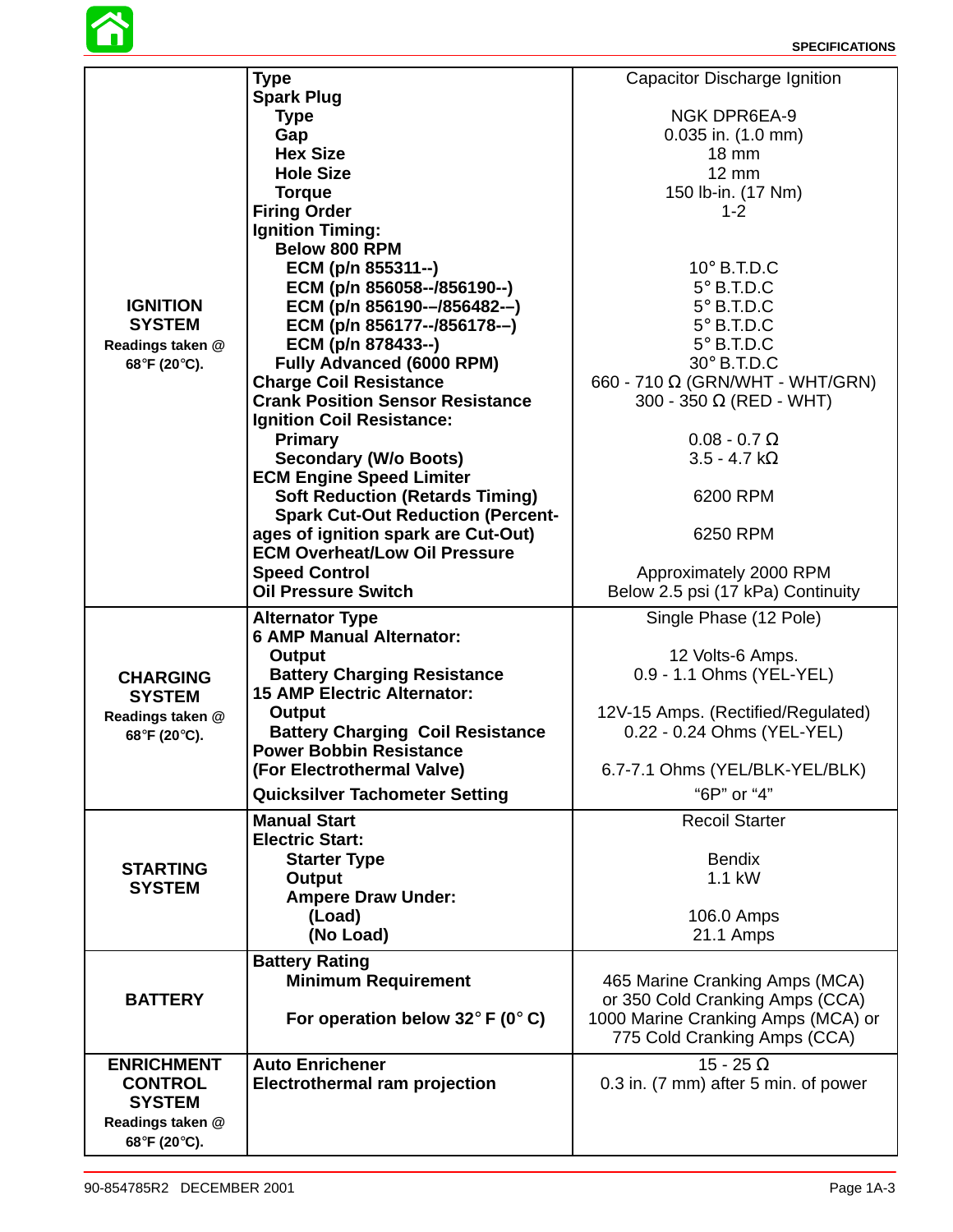

|                                  | Type                                               | Capacitor Discharge Ignition           |
|----------------------------------|----------------------------------------------------|----------------------------------------|
|                                  | <b>Spark Plug</b>                                  |                                        |
|                                  | <b>Type</b>                                        | <b>NGK DPR6EA-9</b>                    |
|                                  | Gap                                                | $0.035$ in. $(1.0$ mm)                 |
|                                  | <b>Hex Size</b>                                    | 18 mm                                  |
|                                  | <b>Hole Size</b>                                   | 12 mm                                  |
|                                  | <b>Torque</b>                                      | 150 lb-in. (17 Nm)                     |
|                                  | <b>Firing Order</b>                                | $1 - 2$                                |
|                                  | <b>Ignition Timing:</b>                            |                                        |
|                                  | Below 800 RPM                                      |                                        |
|                                  | ECM (p/n 855311--)                                 | $10^\circ$ B.T.D.C                     |
|                                  | ECM (p/n 856058--/856190--)                        | $5^\circ$ B.T.D.C                      |
| <b>IGNITION</b>                  | ECM (p/n 856190--/856482--)                        | $5^\circ$ B.T.D.C                      |
| <b>SYSTEM</b>                    | ECM (p/n 856177--/856178--)                        | $5^\circ$ B.T.D.C                      |
| Readings taken @                 | ECM (p/n 878433--)                                 | $5^\circ$ B.T.D.C                      |
| 68°F (20°C).                     | <b>Fully Advanced (6000 RPM)</b>                   | $30^\circ$ B.T.D.C                     |
|                                  | <b>Charge Coil Resistance</b>                      | 660 - 710 $\Omega$ (GRN/WHT - WHT/GRN) |
|                                  | <b>Crank Position Sensor Resistance</b>            | 300 - 350 $\Omega$ (RED - WHT)         |
|                                  | <b>Ignition Coil Resistance:</b>                   |                                        |
|                                  | Primary                                            | $0.08 - 0.7 \Omega$                    |
|                                  | <b>Secondary (W/o Boots)</b>                       | $3.5 - 4.7 k\Omega$                    |
|                                  | <b>ECM Engine Speed Limiter</b>                    |                                        |
|                                  | <b>Soft Reduction (Retards Timing)</b>             | 6200 RPM                               |
|                                  | <b>Spark Cut-Out Reduction (Percent-</b>           |                                        |
|                                  | ages of ignition spark are Cut-Out)                | 6250 RPM                               |
|                                  | <b>ECM Overheat/Low Oil Pressure</b>               |                                        |
|                                  | <b>Speed Control</b>                               | Approximately 2000 RPM                 |
|                                  | <b>Oil Pressure Switch</b>                         | Below 2.5 psi (17 kPa) Continuity      |
|                                  |                                                    |                                        |
|                                  | <b>Alternator Type</b>                             | Single Phase (12 Pole)                 |
|                                  |                                                    |                                        |
|                                  | <b>6 AMP Manual Alternator:</b>                    |                                        |
|                                  | Output                                             | 12 Volts-6 Amps.                       |
| <b>CHARGING</b>                  | <b>Battery Charging Resistance</b>                 | 0.9 - 1.1 Ohms (YEL-YEL)               |
| <b>SYSTEM</b>                    | <b>15 AMP Electric Alternator:</b>                 |                                        |
| Readings taken @                 | Output                                             | 12V-15 Amps. (Rectified/Regulated)     |
| 68°F (20°C).                     | <b>Battery Charging Coil Resistance</b>            | 0.22 - 0.24 Ohms (YEL-YEL)             |
|                                  | <b>Power Bobbin Resistance</b>                     |                                        |
|                                  | (For Electrothermal Valve)                         | 6.7-7.1 Ohms (YEL/BLK-YEL/BLK)         |
|                                  |                                                    | "6P" or "4"                            |
|                                  | <b>Quicksilver Tachometer Setting</b>              |                                        |
|                                  | <b>Manual Start</b>                                | <b>Recoil Starter</b>                  |
|                                  | <b>Electric Start:</b>                             |                                        |
| <b>STARTING</b>                  | <b>Starter Type</b>                                | <b>Bendix</b>                          |
| <b>SYSTEM</b>                    | Output                                             | 1.1 kW                                 |
|                                  | <b>Ampere Draw Under:</b>                          |                                        |
|                                  | (Load)                                             | 106.0 Amps                             |
|                                  | (No Load)                                          | 21.1 Amps                              |
|                                  | <b>Battery Rating</b>                              |                                        |
|                                  | <b>Minimum Requirement</b>                         | 465 Marine Cranking Amps (MCA)         |
| <b>BATTERY</b>                   |                                                    | or 350 Cold Cranking Amps (CCA)        |
|                                  | For operation below 32 $\degree$ F (0 $\degree$ C) | 1000 Marine Cranking Amps (MCA) or     |
|                                  |                                                    | 775 Cold Cranking Amps (CCA)           |
|                                  |                                                    |                                        |
| <b>ENRICHMENT</b>                | <b>Auto Enrichener</b>                             | 15 - 25 $\Omega$                       |
| <b>CONTROL</b>                   | <b>Electrothermal ram projection</b>               | 0.3 in. (7 mm) after 5 min. of power   |
| <b>SYSTEM</b>                    |                                                    |                                        |
| Readings taken @<br>68°F (20°C). |                                                    |                                        |

Ι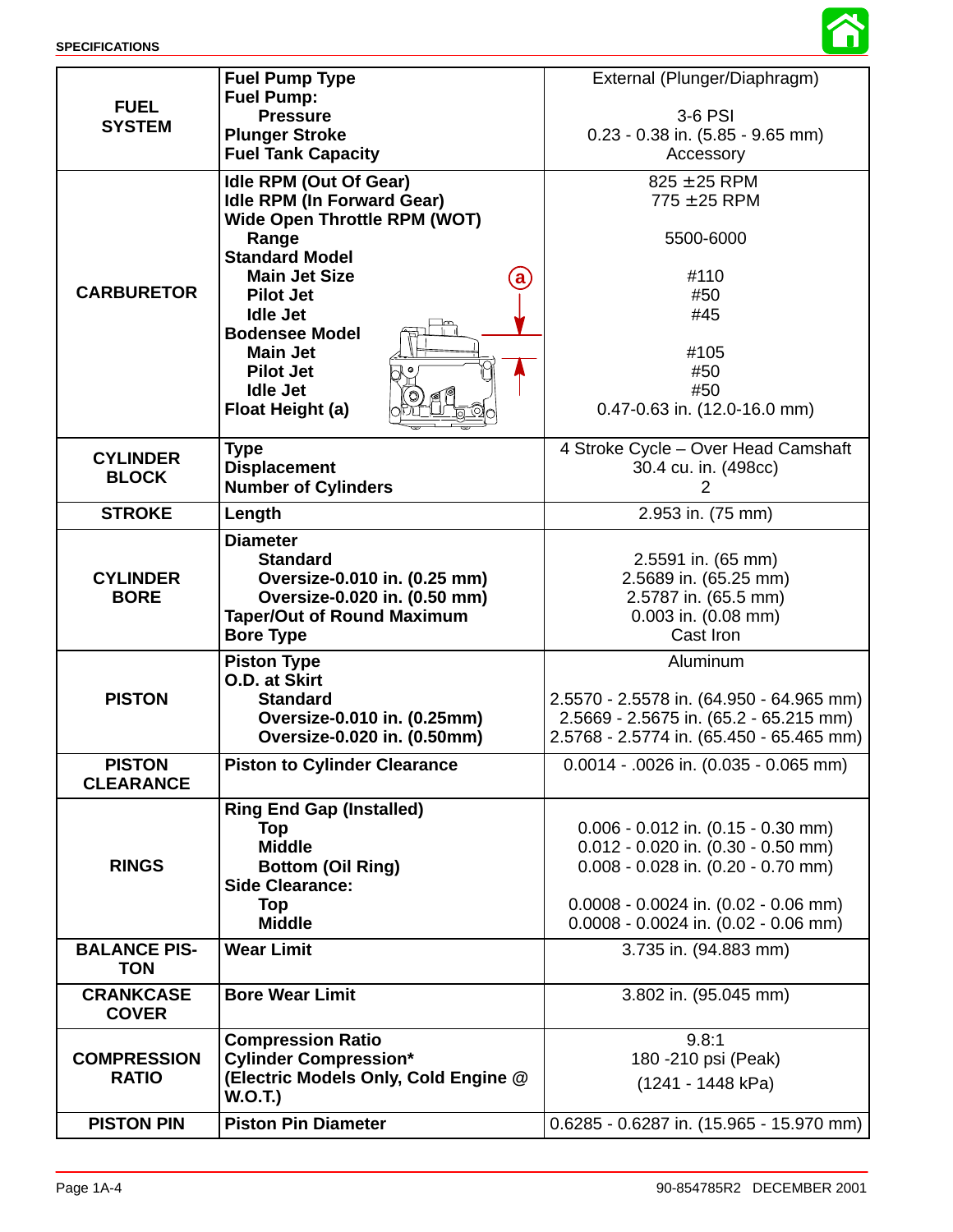

<span id="page-3-0"></span>

|                                    | <b>Fuel Pump Type</b>                                                | External (Plunger/Diaphragm)                                                       |
|------------------------------------|----------------------------------------------------------------------|------------------------------------------------------------------------------------|
| <b>FUEL</b>                        | <b>Fuel Pump:</b><br><b>Pressure</b>                                 | 3-6 PSI                                                                            |
| <b>SYSTEM</b>                      | <b>Plunger Stroke</b>                                                | $0.23 - 0.38$ in. $(5.85 - 9.65$ mm)                                               |
|                                    | <b>Fuel Tank Capacity</b><br><b>Idle RPM (Out Of Gear)</b>           | Accessory<br>$825 \pm 25$ RPM                                                      |
|                                    | <b>Idle RPM (In Forward Gear)</b>                                    | $775 \pm 25$ RPM                                                                   |
|                                    | <b>Wide Open Throttle RPM (WOT)</b><br>Range                         | 5500-6000                                                                          |
|                                    | <b>Standard Model</b><br><b>Main Jet Size</b><br>$\left( a\right)$   | #110                                                                               |
| <b>CARBURETOR</b>                  | <b>Pilot Jet</b>                                                     | #50                                                                                |
|                                    | <b>Idle Jet</b><br><b>Bodensee Model</b>                             | #45                                                                                |
|                                    | <b>Main Jet</b>                                                      | #105                                                                               |
|                                    | <b>Pilot Jet</b>                                                     | #50                                                                                |
|                                    | <b>Idle Jet</b>                                                      | #50<br>0.47-0.63 in. (12.0-16.0 mm)                                                |
|                                    | Float Height (a)                                                     |                                                                                    |
| <b>CYLINDER</b>                    | <b>Type</b>                                                          | 4 Stroke Cycle - Over Head Camshaft                                                |
| <b>BLOCK</b>                       | <b>Displacement</b><br><b>Number of Cylinders</b>                    | 30.4 cu. in. (498cc)<br>2                                                          |
| <b>STROKE</b>                      | Length                                                               | 2.953 in. (75 mm)                                                                  |
|                                    | <b>Diameter</b>                                                      |                                                                                    |
| <b>CYLINDER</b>                    | <b>Standard</b><br>Oversize-0.010 in. (0.25 mm)                      | 2.5591 in. (65 mm)<br>2.5689 in. (65.25 mm)                                        |
| <b>BORE</b>                        | Oversize-0.020 in. (0.50 mm)                                         | 2.5787 in. (65.5 mm)                                                               |
|                                    | <b>Taper/Out of Round Maximum</b>                                    | 0.003 in. (0.08 mm)                                                                |
|                                    | <b>Bore Type</b>                                                     | Cast Iron<br>Aluminum                                                              |
|                                    | <b>Piston Type</b><br>O.D. at Skirt                                  |                                                                                    |
| <b>PISTON</b>                      | <b>Standard</b>                                                      | 2.5570 - 2.5578 in. (64.950 - 64.965 mm)                                           |
|                                    | Oversize-0.010 in. (0.25mm)<br>Oversize-0.020 in. (0.50mm)           | 2.5669 - 2.5675 in. (65.2 - 65.215 mm)<br>2.5768 - 2.5774 in. (65.450 - 65.465 mm) |
| <b>PISTON</b>                      | <b>Piston to Cylinder Clearance</b>                                  | $0.0014 - 0.0026$ in. $(0.035 - 0.065$ mm)                                         |
| <b>CLEARANCE</b>                   |                                                                      |                                                                                    |
|                                    | <b>Ring End Gap (Installed)</b><br>Top                               | $0.006 - 0.012$ in. $(0.15 - 0.30$ mm)                                             |
|                                    | <b>Middle</b>                                                        | $0.012 - 0.020$ in. $(0.30 - 0.50$ mm)                                             |
| <b>RINGS</b>                       | <b>Bottom (Oil Ring)</b>                                             | $0.008 - 0.028$ in. $(0.20 - 0.70$ mm)                                             |
|                                    | <b>Side Clearance:</b><br>Top                                        | $0.0008 - 0.0024$ in. $(0.02 - 0.06$ mm)                                           |
|                                    | <b>Middle</b>                                                        | $0.0008 - 0.0024$ in. $(0.02 - 0.06$ mm)                                           |
| <b>BALANCE PIS-</b><br><b>TON</b>  | <b>Wear Limit</b>                                                    | 3.735 in. (94.883 mm)                                                              |
| <b>CRANKCASE</b><br><b>COVER</b>   | <b>Bore Wear Limit</b>                                               | 3.802 in. (95.045 mm)                                                              |
|                                    | <b>Compression Ratio</b>                                             | 9.8:1                                                                              |
| <b>COMPRESSION</b><br><b>RATIO</b> | <b>Cylinder Compression*</b><br>(Electric Models Only, Cold Engine @ | 180 - 210 psi (Peak)                                                               |
|                                    | <b>W.O.T.)</b>                                                       | (1241 - 1448 kPa)                                                                  |
| <b>PISTON PIN</b>                  | <b>Piston Pin Diameter</b>                                           | 0.6285 - 0.6287 in. (15.965 - 15.970 mm)                                           |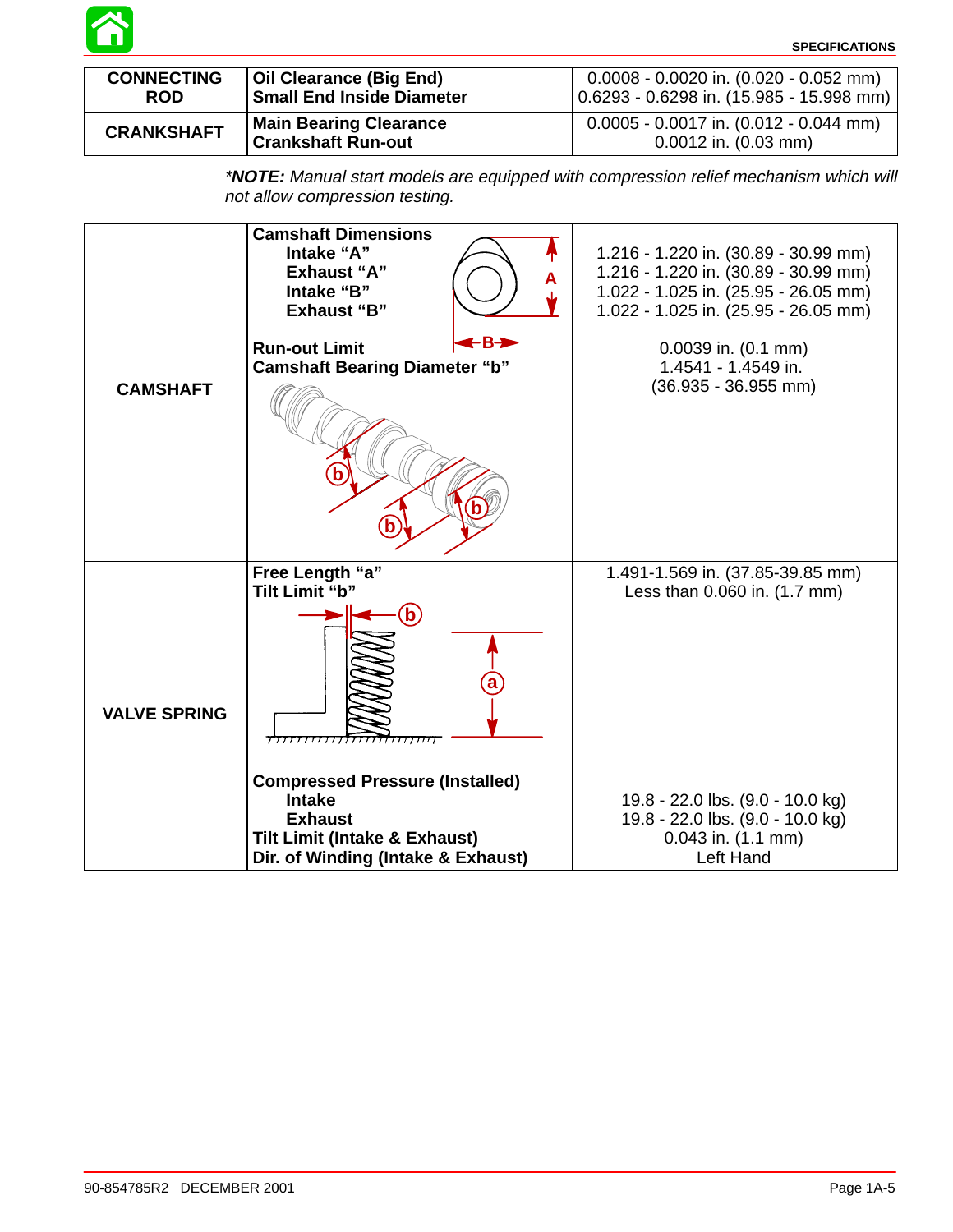

| <b>CONNECTING</b> | Oil Clearance (Big End)                                    | $0.0008 - 0.0020$ in. $(0.020 - 0.052$ mm)                             |
|-------------------|------------------------------------------------------------|------------------------------------------------------------------------|
| <b>ROD</b>        | <b>Small End Inside Diameter</b>                           | 0.6293 - 0.6298 in. (15.985 - 15.998 mm)                               |
| <b>CRANKSHAFT</b> | <b>Main Bearing Clearance</b><br><b>Crankshaft Run-out</b> | $0.0005 - 0.0017$ in. $(0.012 - 0.044$ mm)<br>$0.0012$ in. $(0.03$ mm) |

\***NOTE:** Manual start models are equipped with compression relief mechanism which will not allow compression testing.

|                     | <b>Camshaft Dimensions</b><br>Intake "A"<br><b>Exhaust "A"</b><br>A<br>Intake "B"<br><b>Exhaust "B"</b>                                                     | 1.216 - 1.220 in. (30.89 - 30.99 mm)<br>1.216 - 1.220 in. (30.89 - 30.99 mm)<br>1.022 - 1.025 in. (25.95 - 26.05 mm)<br>1.022 - 1.025 in. (25.95 - 26.05 mm) |
|---------------------|-------------------------------------------------------------------------------------------------------------------------------------------------------------|--------------------------------------------------------------------------------------------------------------------------------------------------------------|
| <b>CAMSHAFT</b>     | -в-<br><b>Run-out Limit</b><br><b>Camshaft Bearing Diameter "b"</b>                                                                                         | $0.0039$ in. $(0.1$ mm)<br>1.4541 - 1.4549 in.<br>$(36.935 - 36.955$ mm)                                                                                     |
| <b>VALVE SPRING</b> | Free Length "a"<br>Tilt Limit "b"<br>$\left(\mathsf{b}\right)$<br><del>,,,,,,,,,,,,,,,,,,,,,,,,,,,,,,,,,,</del>                                             | 1.491-1.569 in. (37.85-39.85 mm)<br>Less than 0.060 in. (1.7 mm)                                                                                             |
|                     | <b>Compressed Pressure (Installed)</b><br><b>Intake</b><br><b>Exhaust</b><br><b>Tilt Limit (Intake &amp; Exhaust)</b><br>Dir. of Winding (Intake & Exhaust) | 19.8 - 22.0 lbs. (9.0 - 10.0 kg)<br>19.8 - 22.0 lbs. (9.0 - 10.0 kg)<br>$0.043$ in. $(1.1$ mm)<br>Left Hand                                                  |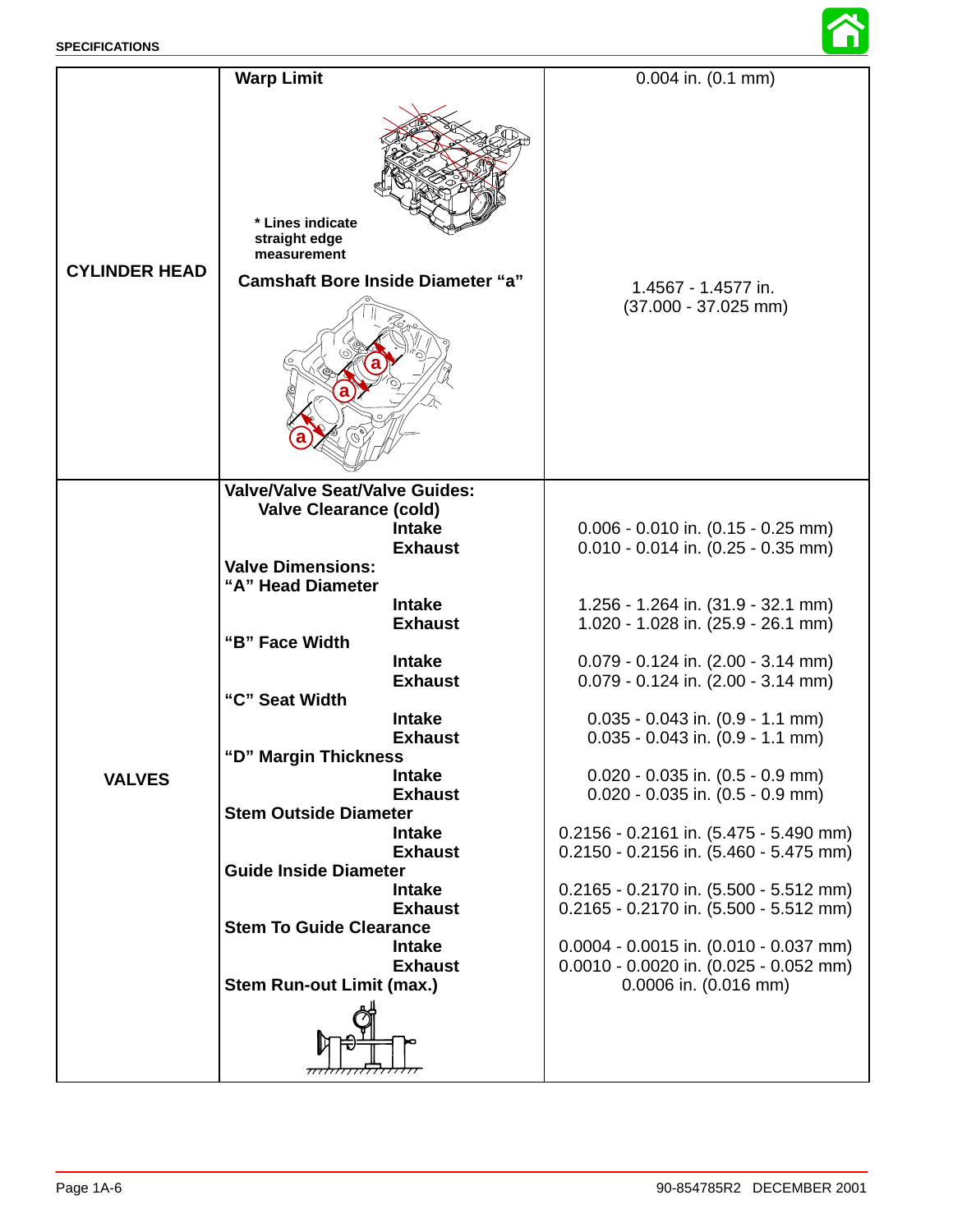

|                      | <b>Warp Limit</b>                                                                            | 0.004 in. (0.1 mm)                                                               |  |  |
|----------------------|----------------------------------------------------------------------------------------------|----------------------------------------------------------------------------------|--|--|
|                      |                                                                                              |                                                                                  |  |  |
|                      | * Lines indicate<br>straight edge<br>measurement                                             |                                                                                  |  |  |
| <b>CYLINDER HEAD</b> | <b>Camshaft Bore Inside Diameter "a"</b>                                                     | 1.4567 - 1.4577 in.<br>$(37.000 - 37.025$ mm)                                    |  |  |
|                      |                                                                                              |                                                                                  |  |  |
|                      | <b>Valve/Valve Seat/Valve Guides:</b>                                                        |                                                                                  |  |  |
|                      | <b>Valve Clearance (cold)</b><br><b>Intake</b><br><b>Exhaust</b><br><b>Valve Dimensions:</b> | $0.006 - 0.010$ in. $(0.15 - 0.25$ mm)<br>$0.010 - 0.014$ in. $(0.25 - 0.35$ mm) |  |  |
|                      | "A" Head Diameter                                                                            |                                                                                  |  |  |
|                      | <b>Intake</b><br><b>Exhaust</b>                                                              | 1.256 - 1.264 in. (31.9 - 32.1 mm)<br>1.020 - 1.028 in. (25.9 - 26.1 mm)         |  |  |
|                      | "B" Face Width                                                                               |                                                                                  |  |  |
|                      | <b>Intake</b><br><b>Exhaust</b>                                                              | $0.079 - 0.124$ in. (2.00 - 3.14 mm)<br>$0.079 - 0.124$ in. (2.00 - 3.14 mm)     |  |  |
|                      | "C" Seat Width                                                                               |                                                                                  |  |  |
|                      | <b>Intake</b><br><b>Exhaust</b>                                                              | $0.035 - 0.043$ in. $(0.9 - 1.1$ mm)<br>$0.035 - 0.043$ in. $(0.9 - 1.1$ mm)     |  |  |
|                      | "D" Margin Thickness                                                                         |                                                                                  |  |  |
| <b>VALVES</b>        | <b>Intake</b>                                                                                | $0.020 - 0.035$ in. $(0.5 - 0.9$ mm)                                             |  |  |
|                      | <b>Exhaust</b><br><b>Stem Outside Diameter</b>                                               | $0.020 - 0.035$ in. $(0.5 - 0.9$ mm)                                             |  |  |
|                      | <b>Intake</b>                                                                                | $0.2156 - 0.2161$ in. $(5.475 - 5.490$ mm)                                       |  |  |
|                      | <b>Exhaust</b><br><b>Guide Inside Diameter</b>                                               | $0.2150 - 0.2156$ in. $(5.460 - 5.475$ mm)                                       |  |  |
|                      | <b>Intake</b>                                                                                | $0.2165 - 0.2170$ in. $(5.500 - 5.512$ mm)                                       |  |  |
|                      | <b>Exhaust</b><br><b>Stem To Guide Clearance</b>                                             | $0.2165 - 0.2170$ in. $(5.500 - 5.512$ mm)                                       |  |  |
|                      | <b>Intake</b>                                                                                | $0.0004 - 0.0015$ in. $(0.010 - 0.037$ mm)                                       |  |  |
|                      | <b>Exhaust</b><br><b>Stem Run-out Limit (max.)</b>                                           | $0.0010 - 0.0020$ in. $(0.025 - 0.052$ mm)<br>0.0006 in. (0.016 mm)              |  |  |
|                      |                                                                                              |                                                                                  |  |  |
|                      | <del>,,,,,,,,,,,,,,,,,,,,,,,,,</del>                                                         |                                                                                  |  |  |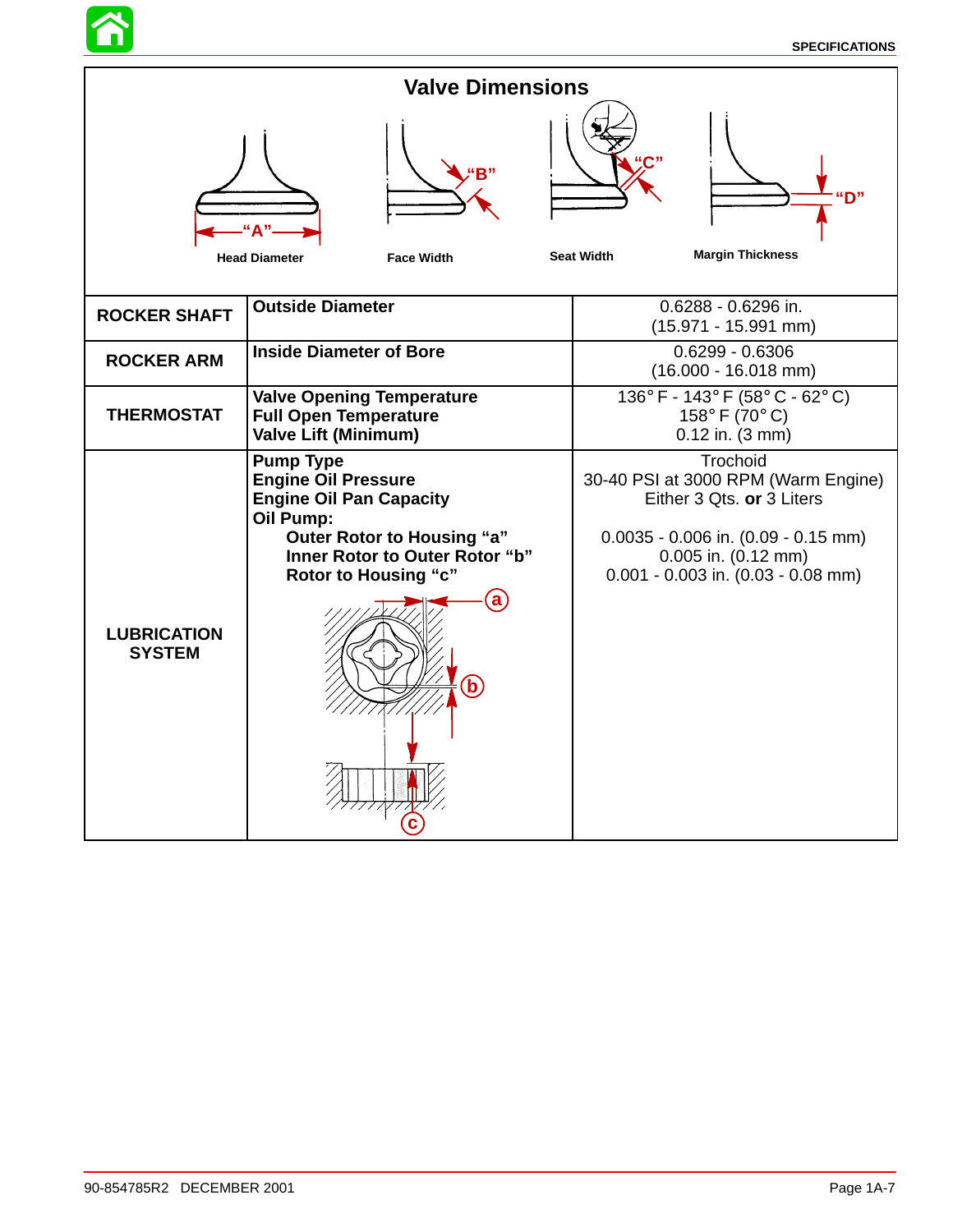| <b>Valve Dimensions</b>             |                                                                                                                                                                                                             |                                                                                                                                                                                          |  |  |  |
|-------------------------------------|-------------------------------------------------------------------------------------------------------------------------------------------------------------------------------------------------------------|------------------------------------------------------------------------------------------------------------------------------------------------------------------------------------------|--|--|--|
|                                     | <b>Head Diameter</b><br><b>Face Width</b>                                                                                                                                                                   | <b>Margin Thickness</b><br><b>Seat Width</b>                                                                                                                                             |  |  |  |
| <b>ROCKER SHAFT</b>                 | <b>Outside Diameter</b>                                                                                                                                                                                     | 0.6288 - 0.6296 in.<br>$(15.971 - 15.991$ mm)                                                                                                                                            |  |  |  |
| <b>ROCKER ARM</b>                   | <b>Inside Diameter of Bore</b>                                                                                                                                                                              | $0.6299 - 0.6306$<br>$(16.000 - 16.018$ mm)                                                                                                                                              |  |  |  |
| <b>THERMOSTAT</b>                   | <b>Valve Opening Temperature</b><br><b>Full Open Temperature</b><br><b>Valve Lift (Minimum)</b>                                                                                                             | 136° F - 143° F (58° C - 62° C)<br>158 $\degree$ F (70 $\degree$ C)<br>$0.12$ in. $(3 \text{ mm})$                                                                                       |  |  |  |
| <b>LUBRICATION</b><br><b>SYSTEM</b> | <b>Pump Type</b><br><b>Engine Oil Pressure</b><br><b>Engine Oil Pan Capacity</b><br>Oil Pump:<br>Outer Rotor to Housing "a"<br>Inner Rotor to Outer Rotor "b"<br>Rotor to Housing "c"<br>$\mathbf{\hat{a}}$ | Trochoid<br>30-40 PSI at 3000 RPM (Warm Engine)<br>Either 3 Qts. or 3 Liters<br>$0.0035 - 0.006$ in. $(0.09 - 0.15$ mm)<br>0.005 in. (0.12 mm)<br>$0.001 - 0.003$ in. $(0.03 - 0.08$ mm) |  |  |  |

谷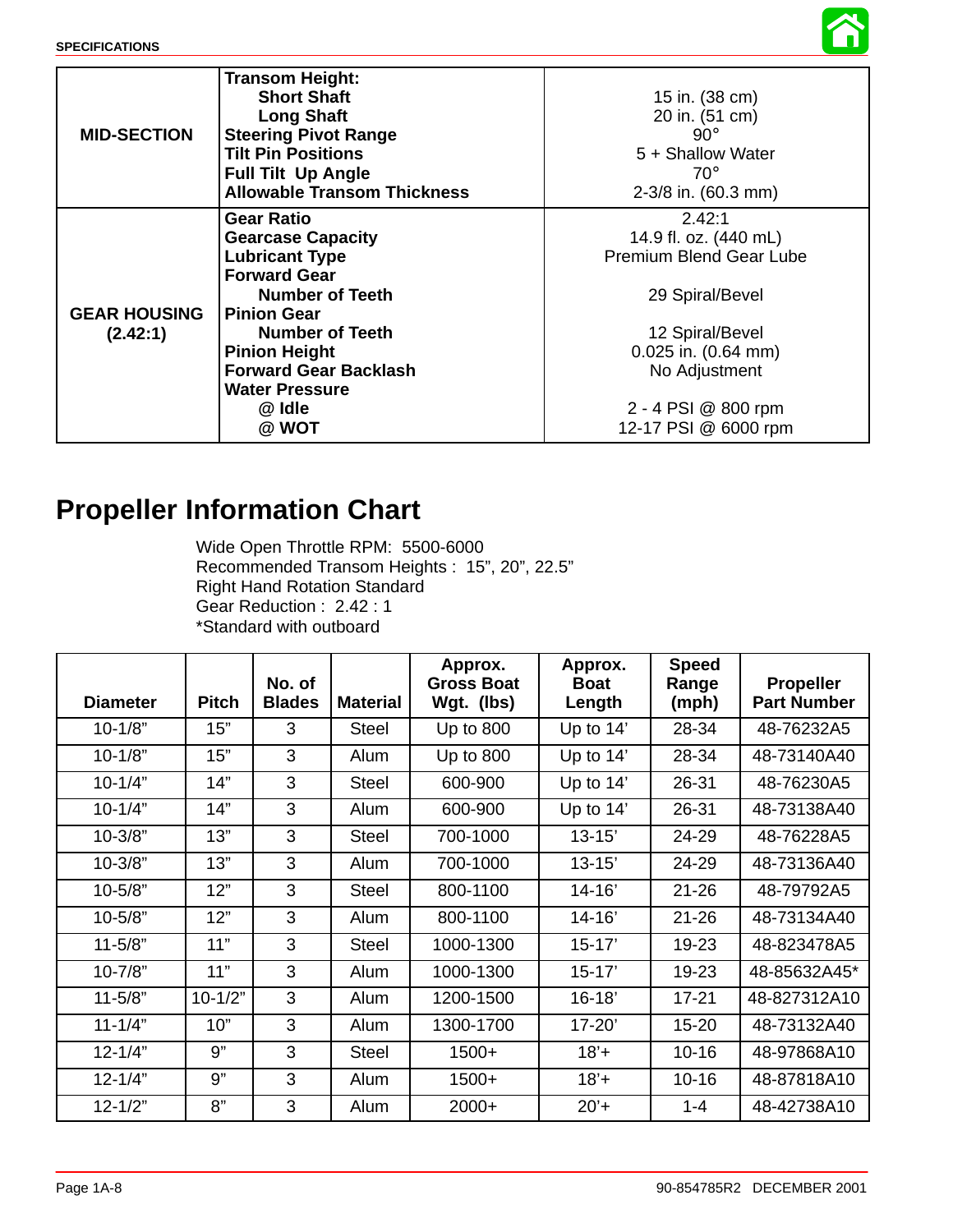

|                     | <b>Transom Height:</b>             |                                |
|---------------------|------------------------------------|--------------------------------|
|                     | <b>Short Shaft</b>                 | 15 in. (38 cm)                 |
|                     | <b>Long Shaft</b>                  | 20 in. (51 cm)                 |
| <b>MID-SECTION</b>  | <b>Steering Pivot Range</b>        | $90^\circ$                     |
|                     | <b>Tilt Pin Positions</b>          | 5 + Shallow Water              |
|                     | <b>Full Tilt Up Angle</b>          | $70^{\circ}$                   |
|                     | <b>Allowable Transom Thickness</b> | 2-3/8 in. (60.3 mm)            |
|                     | <b>Gear Ratio</b>                  | 2.42:1                         |
|                     | <b>Gearcase Capacity</b>           | 14.9 fl. oz. (440 mL)          |
|                     | <b>Lubricant Type</b>              | <b>Premium Blend Gear Lube</b> |
|                     | <b>Forward Gear</b>                |                                |
|                     | Number of Teeth                    | 29 Spiral/Bevel                |
| <b>GEAR HOUSING</b> | <b>Pinion Gear</b>                 |                                |
| (2.42:1)            | Number of Teeth                    | 12 Spiral/Bevel                |
|                     | <b>Pinion Height</b>               | $0.025$ in. $(0.64$ mm)        |
|                     | <b>Forward Gear Backlash</b>       | No Adjustment                  |
|                     | <b>Water Pressure</b>              |                                |
|                     | @ Idle                             | 2 - 4 PSI @ 800 rpm            |
|                     | @ WOT                              | 12-17 PSI @ 6000 rpm           |

### **Propeller Information Chart**

Wide Open Throttle RPM: 5500-6000 Recommended Transom Heights : 15", 20", 22.5" Right Hand Rotation Standard Gear Reduction : 2.42 : 1 \*Standard with outboard

| <b>Diameter</b> | <b>Pitch</b> | No. of<br><b>Blades</b> | <b>Material</b> | Approx.<br><b>Gross Boat</b><br>Wgt. (lbs) | Approx.<br><b>Boat</b><br>Length | <b>Speed</b><br>Range<br>(mph) | <b>Propeller</b><br><b>Part Number</b> |
|-----------------|--------------|-------------------------|-----------------|--------------------------------------------|----------------------------------|--------------------------------|----------------------------------------|
| $10 - 1/8"$     | 15"          | 3                       | <b>Steel</b>    | Up to 800                                  | Up to 14'                        | 28-34                          | 48-76232A5                             |
| $10 - 1/8"$     | 15"          | 3                       | Alum            | Up to 800                                  | Up to 14'                        | 28-34                          | 48-73140A40                            |
| $10 - 1/4"$     | 14"          | 3                       | <b>Steel</b>    | 600-900                                    | Up to $14'$                      | 26-31                          | 48-76230A5                             |
| $10 - 1/4"$     | 14"          | 3                       | Alum            | 600-900                                    | Up to 14'                        | 26-31                          | 48-73138A40                            |
| $10 - 3/8"$     | 13"          | 3                       | <b>Steel</b>    | 700-1000                                   | $13 - 15'$                       | 24-29                          | 48-76228A5                             |
| $10 - 3/8"$     | 13"          | 3                       | Alum            | 700-1000                                   | $13 - 15'$                       | 24-29                          | 48-73136A40                            |
| $10 - 5/8"$     | 12"          | 3                       | <b>Steel</b>    | 800-1100                                   | $14 - 16'$                       | $21 - 26$                      | 48-79792A5                             |
| $10 - 5/8"$     | 12"          | 3                       | Alum            | 800-1100                                   | $14 - 16'$                       | $21 - 26$                      | 48-73134A40                            |
| $11 - 5/8"$     | 11"          | 3                       | <b>Steel</b>    | 1000-1300                                  | $15 - 17'$                       | 19-23                          | 48-823478A5                            |
| $10 - 7/8"$     | 11"          | 3                       | Alum            | 1000-1300                                  | $15 - 17'$                       | 19-23                          | 48-85632A45*                           |
| $11 - 5/8"$     | $10 - 1/2"$  | 3                       | Alum            | 1200-1500                                  | $16 - 18'$                       | $17 - 21$                      | 48-827312A10                           |
| $11 - 1/4"$     | 10"          | 3                       | Alum            | 1300-1700                                  | $17 - 20'$                       | $15 - 20$                      | 48-73132A40                            |
| $12 - 1/4"$     | 9"           | 3                       | <b>Steel</b>    | $1500+$                                    | $18'+$                           | $10 - 16$                      | 48-97868A10                            |
| $12 - 1/4"$     | 9"           | 3                       | Alum            | $1500+$                                    | $18' +$                          | $10 - 16$                      | 48-87818A10                            |
| $12 - 1/2"$     | 8"           | 3                       | Alum            | $2000+$                                    | $20'+$                           | $1 - 4$                        | 48-42738A10                            |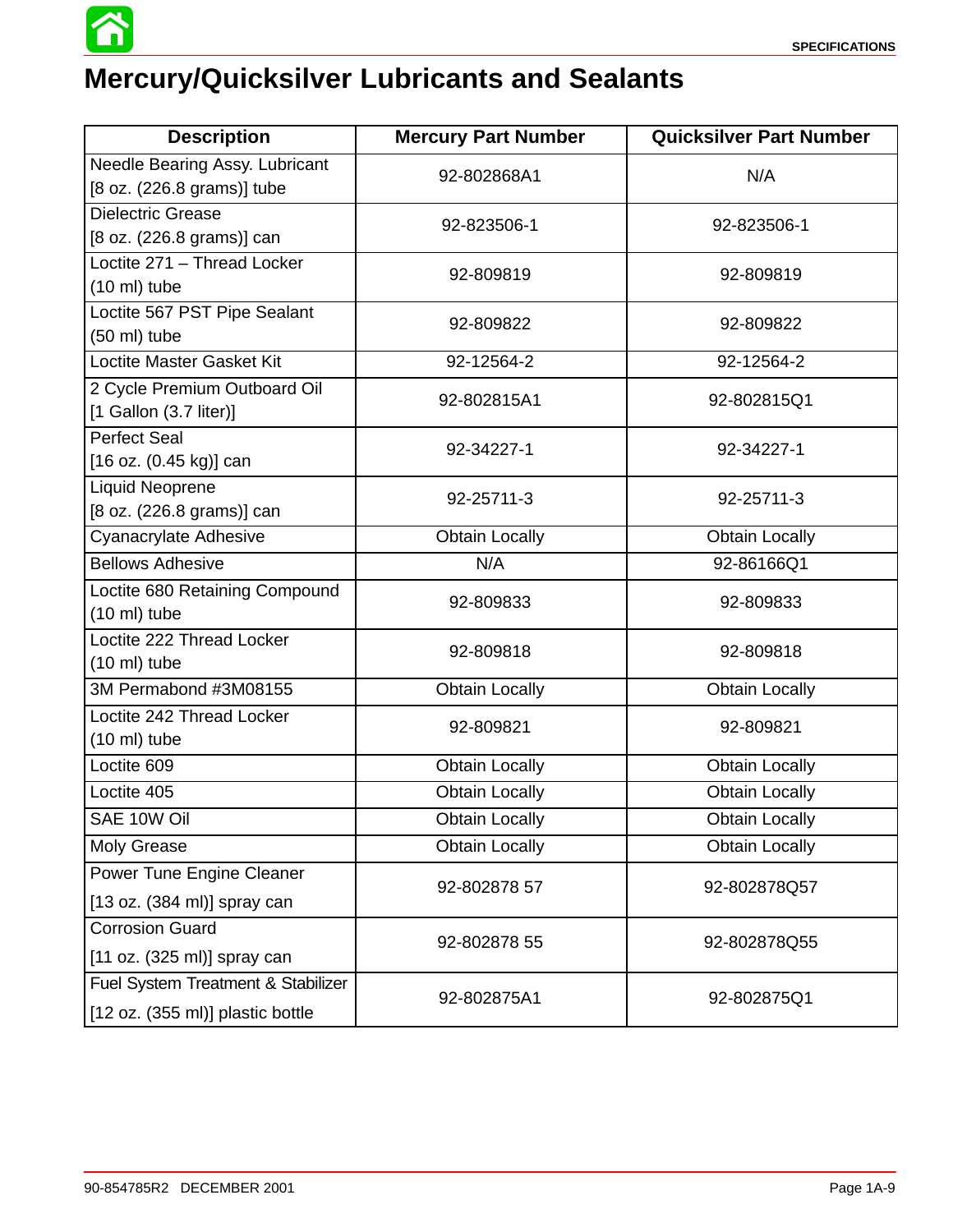

# **Mercury/Quicksilver Lubricants and Sealants**

| <b>Description</b>                                                     | <b>Mercury Part Number</b> | <b>Quicksilver Part Number</b> |  |
|------------------------------------------------------------------------|----------------------------|--------------------------------|--|
| Needle Bearing Assy. Lubricant<br>[8 oz. (226.8 grams)] tube           | 92-802868A1                | N/A                            |  |
| Dielectric Grease<br>[8 oz. (226.8 grams)] can                         | 92-823506-1                | 92-823506-1                    |  |
| Loctite 271 - Thread Locker<br>(10 ml) tube                            | 92-809819                  | 92-809819                      |  |
| Loctite 567 PST Pipe Sealant<br>(50 ml) tube                           | 92-809822                  | 92-809822                      |  |
| Loctite Master Gasket Kit                                              | 92-12564-2                 | 92-12564-2                     |  |
| 2 Cycle Premium Outboard Oil<br>$[1$ Gallon $(3.7$ liter)]             | 92-802815A1                | 92-802815Q1                    |  |
| <b>Perfect Seal</b><br>[16 oz. (0.45 kg)] can                          | 92-34227-1                 | 92-34227-1                     |  |
| <b>Liquid Neoprene</b><br>[8 oz. (226.8 grams)] can                    | 92-25711-3                 | 92-25711-3                     |  |
| Cyanacrylate Adhesive                                                  | <b>Obtain Locally</b>      | <b>Obtain Locally</b>          |  |
| <b>Bellows Adhesive</b>                                                | N/A                        | 92-86166Q1                     |  |
| Loctite 680 Retaining Compound<br>(10 ml) tube                         | 92-809833                  | 92-809833                      |  |
| Loctite 222 Thread Locker<br>$(10 \text{ ml})$ tube                    | 92-809818                  | 92-809818                      |  |
| 3M Permabond #3M08155                                                  | <b>Obtain Locally</b>      | <b>Obtain Locally</b>          |  |
| Loctite 242 Thread Locker<br>$(10 \text{ ml})$ tube                    | 92-809821                  | 92-809821                      |  |
| Loctite 609                                                            | <b>Obtain Locally</b>      | <b>Obtain Locally</b>          |  |
| Loctite 405                                                            | <b>Obtain Locally</b>      | <b>Obtain Locally</b>          |  |
| SAE 10W Oil                                                            | <b>Obtain Locally</b>      | <b>Obtain Locally</b>          |  |
| Moly Grease                                                            | <b>Obtain Locally</b>      | <b>Obtain Locally</b>          |  |
| Power Tune Engine Cleaner<br>[13 oz. (384 ml)] spray can               | 92-802878 57               | 92-802878Q57                   |  |
| <b>Corrosion Guard</b><br>[11 oz. (325 ml)] spray can                  | 92-802878 55               | 92-802878Q55                   |  |
| Fuel System Treatment & Stabilizer<br>[12 oz. (355 ml)] plastic bottle | 92-802875A1                | 92-802875Q1                    |  |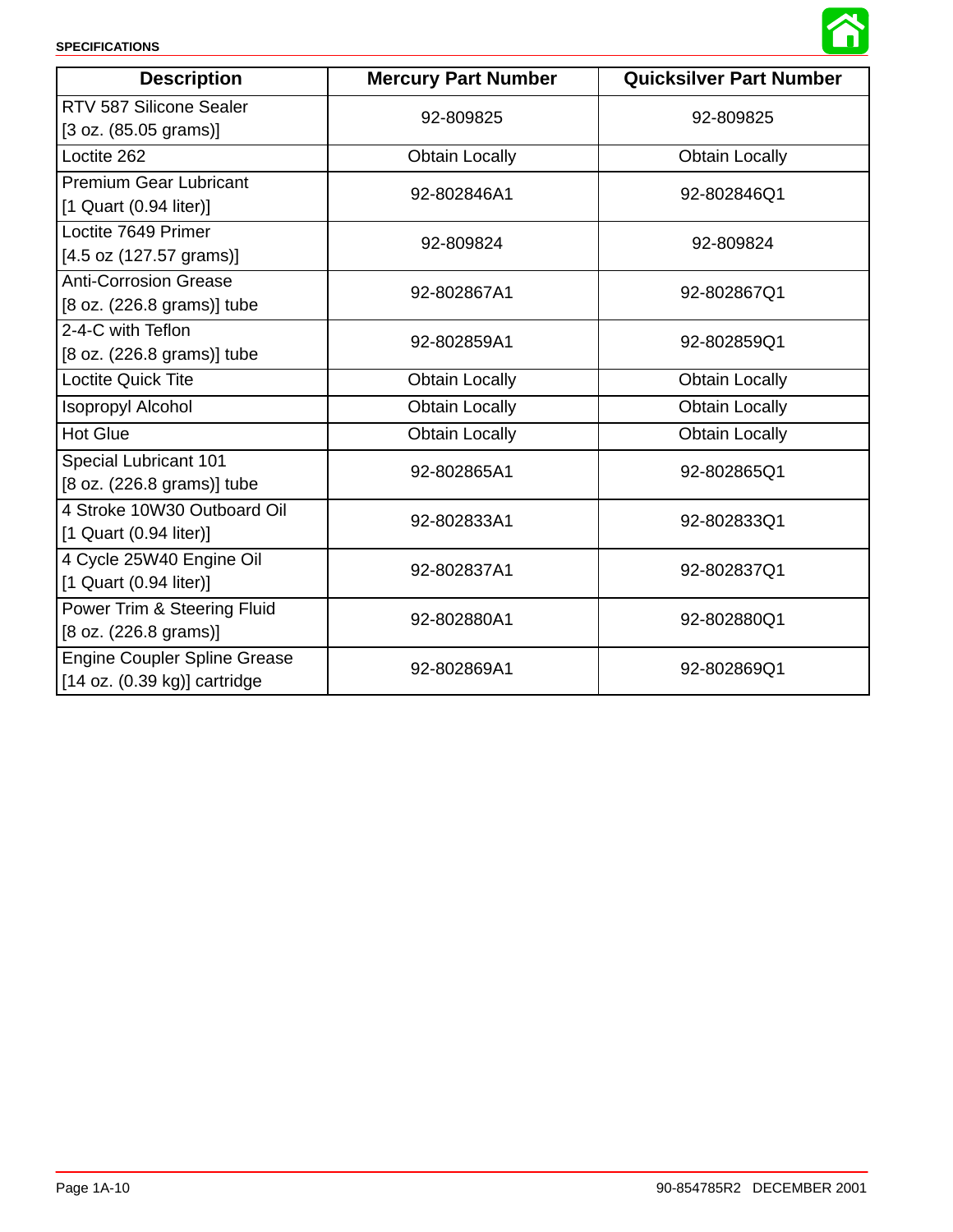

| <b>Description</b>                                                      | <b>Mercury Part Number</b> | <b>Quicksilver Part Number</b> |
|-------------------------------------------------------------------------|----------------------------|--------------------------------|
| RTV 587 Silicone Sealer<br>[3 oz. (85.05 grams)]                        | 92-809825                  | 92-809825                      |
| Loctite 262                                                             | <b>Obtain Locally</b>      | <b>Obtain Locally</b>          |
| <b>Premium Gear Lubricant</b><br>[1 Quart (0.94 liter)]                 | 92-802846A1                | 92-802846Q1                    |
| Loctite 7649 Primer<br>[4.5 oz (127.57 grams)]                          | 92-809824                  | 92-809824                      |
| <b>Anti-Corrosion Grease</b><br>[8 oz. (226.8 grams)] tube              | 92-802867A1                | 92-802867Q1                    |
| 2-4-C with Teflon<br>[8 oz. (226.8 grams)] tube                         | 92-802859A1                | 92-802859Q1                    |
| <b>Loctite Quick Tite</b>                                               | <b>Obtain Locally</b>      | <b>Obtain Locally</b>          |
| <b>Isopropyl Alcohol</b>                                                | <b>Obtain Locally</b>      | <b>Obtain Locally</b>          |
| <b>Hot Glue</b>                                                         | <b>Obtain Locally</b>      | <b>Obtain Locally</b>          |
| Special Lubricant 101<br>[8 oz. (226.8 grams)] tube                     | 92-802865A1                | 92-802865Q1                    |
| 4 Stroke 10W30 Outboard Oil<br>[1 Quart (0.94 liter)]                   | 92-802833A1                | 92-802833Q1                    |
| 4 Cycle 25W40 Engine Oil<br>[1 Quart (0.94 liter)]                      | 92-802837A1                | 92-802837Q1                    |
| Power Trim & Steering Fluid<br>[8 oz. (226.8 grams)]                    | 92-802880A1                | 92-802880Q1                    |
| <b>Engine Coupler Spline Grease</b><br>$[14$ oz. $(0.39$ kg)] cartridge | 92-802869A1                | 92-802869Q1                    |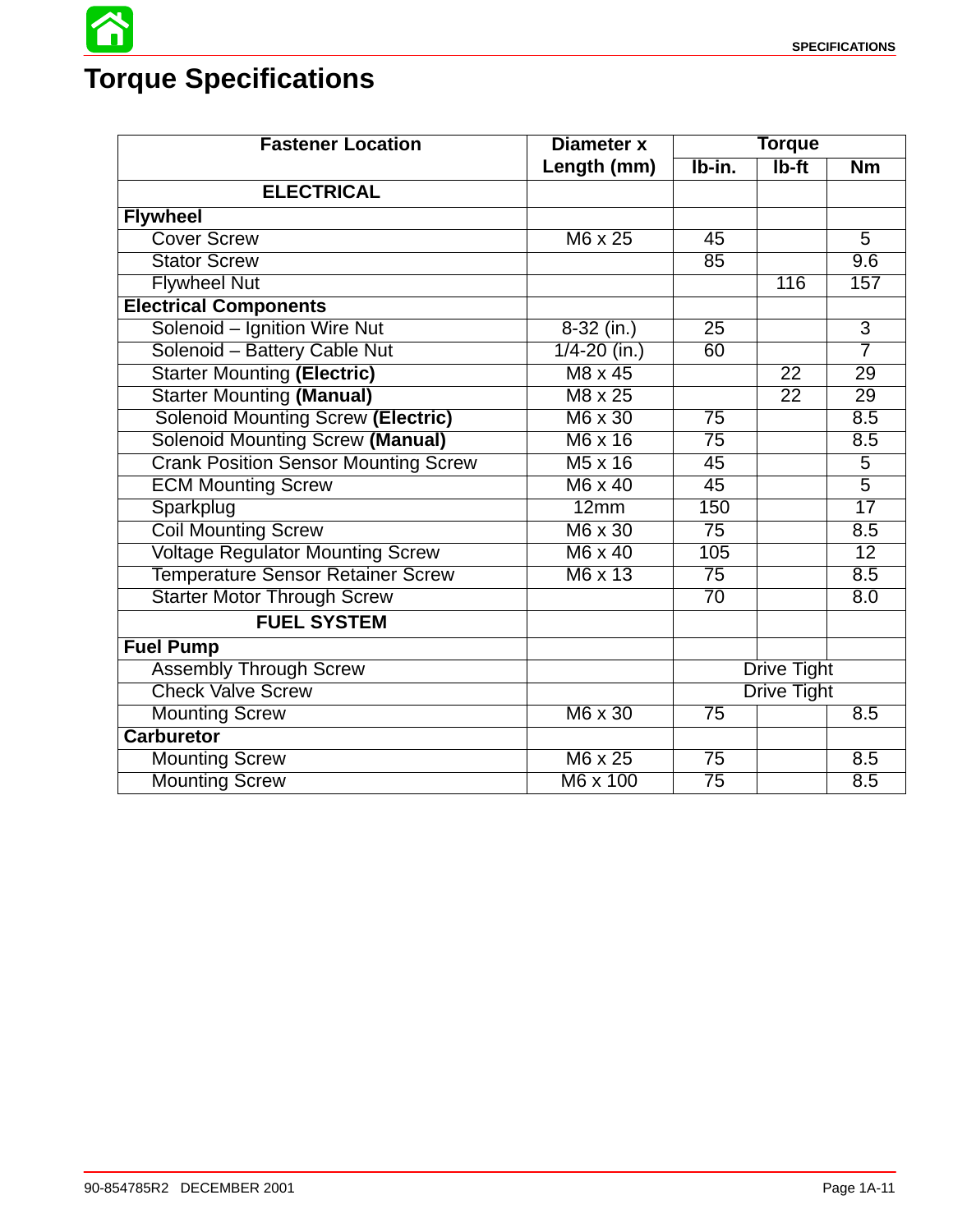# **Torque Specifications**

6

| <b>Fastener Location</b>                    | Diameter x          | <b>Torque</b>      |                 |                 |
|---------------------------------------------|---------------------|--------------------|-----------------|-----------------|
|                                             | Length (mm)         | Ib-in.             | Ib-ft           | Nm              |
| <b>ELECTRICAL</b>                           |                     |                    |                 |                 |
| <b>Flywheel</b>                             |                     |                    |                 |                 |
| <b>Cover Screw</b>                          | $M6 \times 25$      | 45                 |                 | $\overline{5}$  |
| <b>Stator Screw</b>                         |                     | 85                 |                 | 9.6             |
| <b>Flywheel Nut</b>                         |                     |                    | 116             | 157             |
| <b>Electrical Components</b>                |                     |                    |                 |                 |
| Solenoid - Ignition Wire Nut                | $8-32$ (in.)        | $\overline{25}$    |                 | $\overline{3}$  |
| Solenoid - Battery Cable Nut                | $1/4 - 20$ (in.)    | 60                 |                 | $\overline{7}$  |
| <b>Starter Mounting (Electric)</b>          | M8 x 45             |                    | $\overline{2}2$ | $\overline{29}$ |
| <b>Starter Mounting (Manual)</b>            | M8 x 25             |                    | $\overline{22}$ | 29              |
| <b>Solenoid Mounting Screw (Electric)</b>   | M6 x 30             | $\overline{75}$    |                 | 8.5             |
| <b>Solenoid Mounting Screw (Manual)</b>     | M6 x 16             | 75                 |                 | 8.5             |
| <b>Crank Position Sensor Mounting Screw</b> | M <sub>5</sub> x 16 | 45                 |                 | $\overline{5}$  |
| <b>ECM Mounting Screw</b>                   | $M6 \times 40$      | 45                 |                 | $\overline{5}$  |
| Sparkplug                                   | 12mm                | 150                |                 | 17              |
| <b>Coil Mounting Screw</b>                  | M6 x 30             | $\overline{75}$    |                 | 8.5             |
| <b>Voltage Regulator Mounting Screw</b>     | $M6 \times 40$      | 105                |                 | $\overline{12}$ |
| Temperature Sensor Retainer Screw           | M6 x 13             | 75                 |                 | 8.5             |
| <b>Starter Motor Through Screw</b>          |                     | $\overline{70}$    |                 | 8.0             |
| <b>FUEL SYSTEM</b>                          |                     |                    |                 |                 |
| <b>Fuel Pump</b>                            |                     |                    |                 |                 |
| <b>Assembly Through Screw</b>               |                     | <b>Drive Tight</b> |                 |                 |
| <b>Check Valve Screw</b>                    |                     | <b>Drive Tight</b> |                 |                 |
| <b>Mounting Screw</b>                       | M6 x 30             | $\overline{75}$    |                 | 8.5             |
| <b>Carburetor</b>                           |                     |                    |                 |                 |
| <b>Mounting Screw</b>                       | $M6 \times 25$      | $\overline{75}$    |                 | 8.5             |
| <b>Mounting Screw</b>                       | M6 x 100            | 75                 |                 | 8.5             |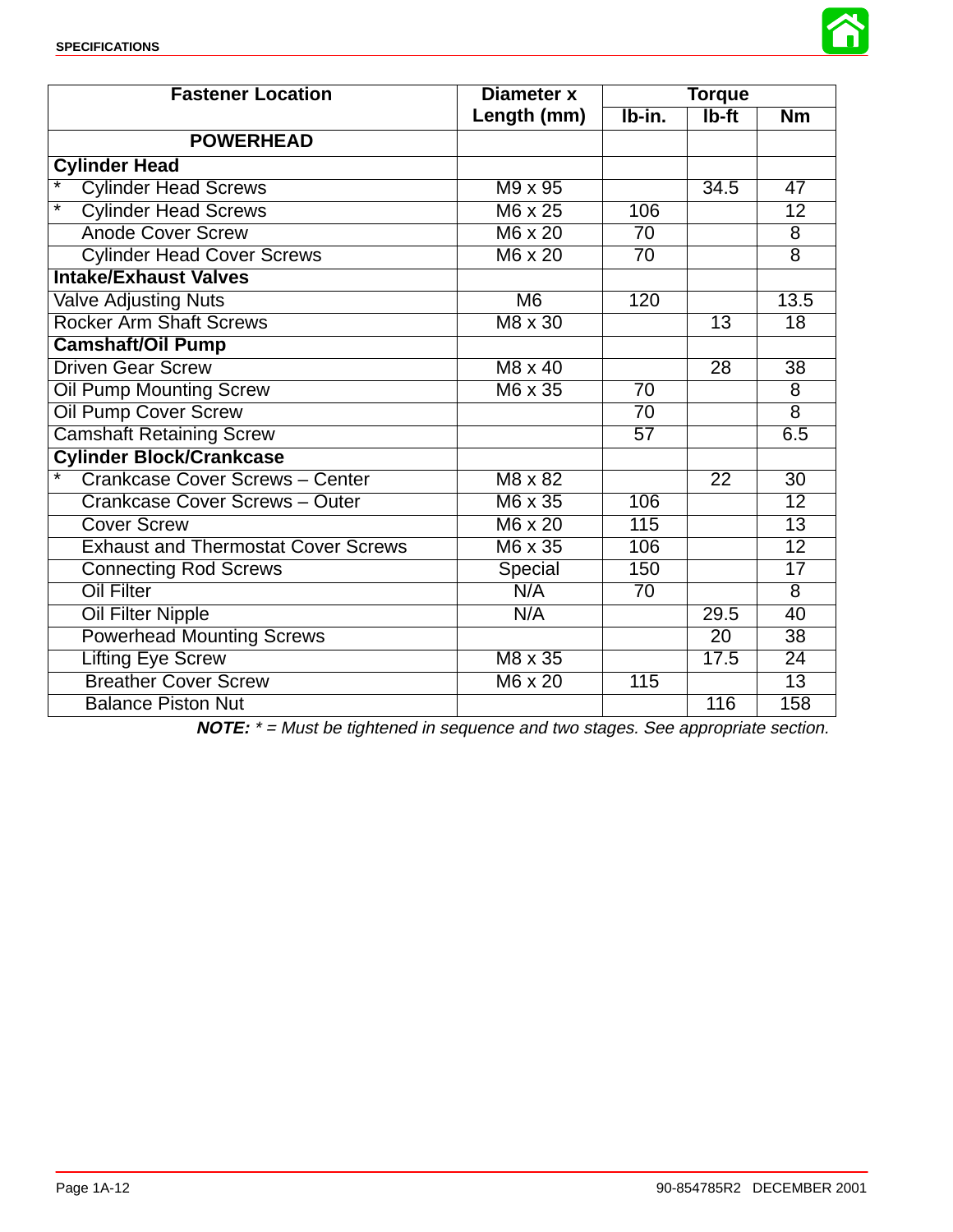

| <b>Fastener Location</b>                          | <b>Diameter x</b> | <b>Torque</b>   |                 |                 |
|---------------------------------------------------|-------------------|-----------------|-----------------|-----------------|
|                                                   | Length (mm)       | Ib-in.          | $Ib-ft$         | Nm              |
| <b>POWERHEAD</b>                                  |                   |                 |                 |                 |
| <b>Cylinder Head</b>                              |                   |                 |                 |                 |
| <b>Cylinder Head Screws</b>                       | $M9 \times 95$    |                 | 34.5            | 47              |
| <b>Cylinder Head Screws</b>                       | $M6 \times 25$    | 106             |                 | $\overline{12}$ |
| <b>Anode Cover Screw</b>                          | $M6 \times 20$    | $\overline{70}$ |                 | $\overline{8}$  |
| <b>Cylinder Head Cover Screws</b>                 | $M6 \times 20$    | $\overline{70}$ |                 | $\overline{8}$  |
| <b>Intake/Exhaust Valves</b>                      |                   |                 |                 |                 |
| <b>Valve Adjusting Nuts</b>                       | M6                | 120             |                 | 13.5            |
| <b>Rocker Arm Shaft Screws</b>                    | M8 x 30           |                 | $\overline{13}$ | $\overline{18}$ |
| <b>Camshaft/Oil Pump</b>                          |                   |                 |                 |                 |
| <b>Driven Gear Screw</b>                          | $M8 \times 40$    |                 | 28              | $\overline{38}$ |
| <b>Oil Pump Mounting Screw</b>                    | M6 x 35           | $\overline{70}$ |                 | $\overline{8}$  |
| <b>Oil Pump Cover Screw</b>                       |                   | $\overline{70}$ |                 | $\overline{8}$  |
| <b>Camshaft Retaining Screw</b>                   |                   | 57              |                 | 6.5             |
| <b>Cylinder Block/Crankcase</b>                   |                   |                 |                 |                 |
| $\star$<br><b>Crankcase Cover Screws - Center</b> | M8 x 82           |                 | $\overline{22}$ | $\overline{30}$ |
| Crankcase Cover Screws - Outer                    | M6 x 35           | 106             |                 | $\overline{12}$ |
| <b>Cover Screw</b>                                | M6 x 20           | 115             |                 | $\overline{13}$ |
| <b>Exhaust and Thermostat Cover Screws</b>        | M6 x 35           | 106             |                 | $\overline{12}$ |
| <b>Connecting Rod Screws</b>                      | Special           | 150             |                 | 17              |
| <b>Oil Filter</b>                                 | N/A               | $\overline{70}$ |                 | $\overline{8}$  |
| <b>Oil Filter Nipple</b>                          | N/A               |                 | 29.5            | 40              |
| <b>Powerhead Mounting Screws</b>                  |                   |                 | $\overline{20}$ | $\overline{38}$ |
| <b>Lifting Eye Screw</b>                          | $M8 \times 35$    |                 | 17.5            | $\overline{24}$ |
| <b>Breather Cover Screw</b>                       | $M6 \times 20$    | 115             |                 | $\overline{13}$ |
| <b>Balance Piston Nut</b>                         |                   |                 | 116             | 158             |

**NOTE:** \* = Must be tightened in sequence and two stages. See appropriate section.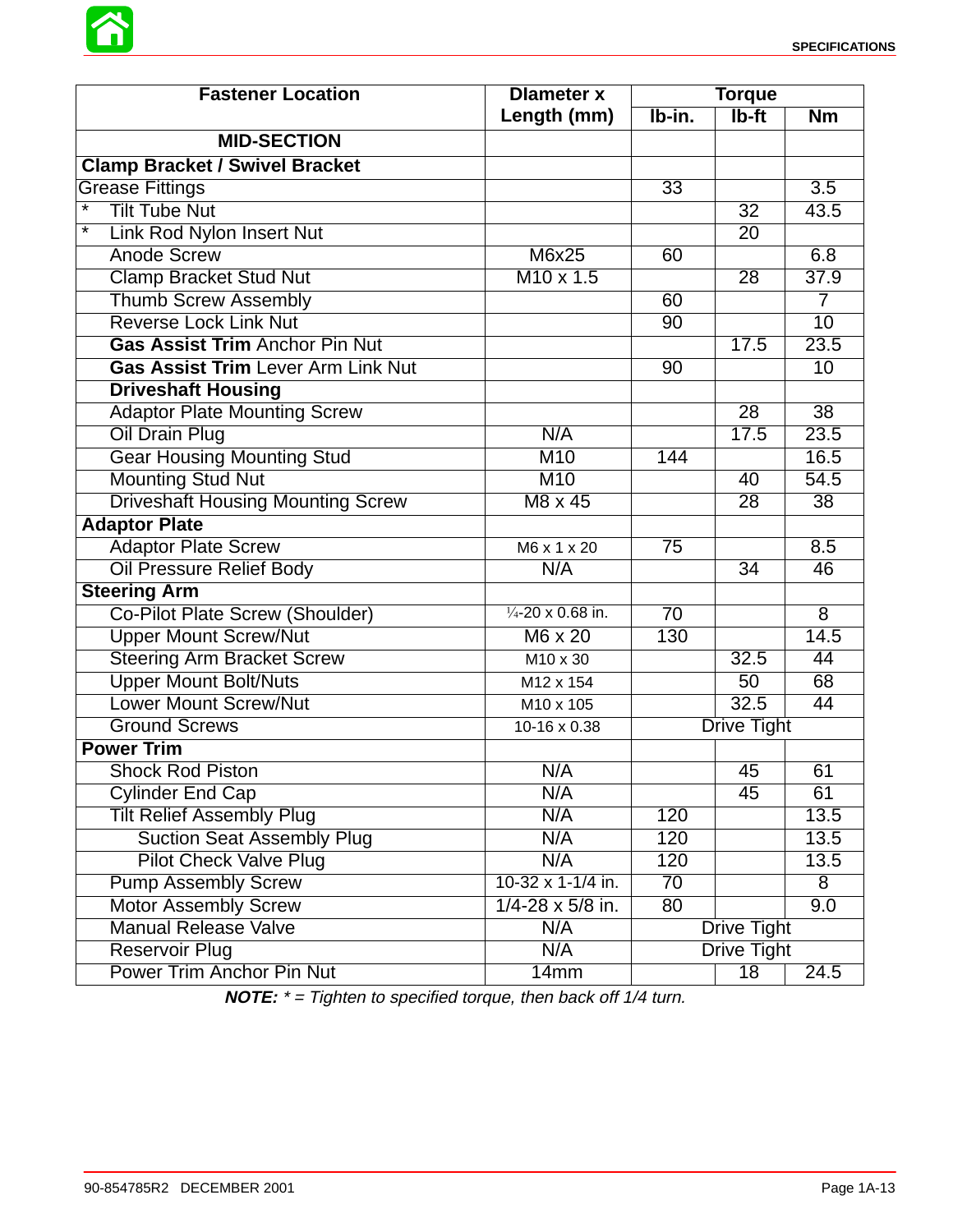

| <b>Fastener Location</b>                      | <b>Dlameter x</b>            | <b>Torque</b>      |                 |                  |
|-----------------------------------------------|------------------------------|--------------------|-----------------|------------------|
|                                               | Length (mm)                  | Ib-in.             | Ib-ft           | Nm               |
| <b>MID-SECTION</b>                            |                              |                    |                 |                  |
| <b>Clamp Bracket / Swivel Bracket</b>         |                              |                    |                 |                  |
| <b>Grease Fittings</b>                        |                              | $\overline{33}$    |                 | $\overline{3.5}$ |
| <b>Tilt Tube Nut</b>                          |                              |                    | $\overline{32}$ | 43.5             |
| $^{\ast}$<br><b>Link Rod Nylon Insert Nut</b> |                              |                    | $\overline{20}$ |                  |
| <b>Anode Screw</b>                            | M6x25                        | 60                 |                 | 6.8              |
| <b>Clamp Bracket Stud Nut</b>                 | $M10 \times 1.5$             |                    | $\overline{28}$ | 37.9             |
| <b>Thumb Screw Assembly</b>                   |                              | 60                 |                 | $\overline{7}$   |
| <b>Reverse Lock Link Nut</b>                  |                              | $\overline{90}$    |                 | 10               |
| <b>Gas Assist Trim Anchor Pin Nut</b>         |                              |                    | 17.5            | 23.5             |
| <b>Gas Assist Trim Lever Arm Link Nut</b>     |                              | $\overline{90}$    |                 | $\overline{10}$  |
| <b>Driveshaft Housing</b>                     |                              |                    |                 |                  |
| <b>Adaptor Plate Mounting Screw</b>           |                              |                    | 28              | $\overline{38}$  |
| <b>Oil Drain Plug</b>                         | N/A                          |                    | 17.5            | 23.5             |
| <b>Gear Housing Mounting Stud</b>             | M10                          | 144                |                 | 16.5             |
| <b>Mounting Stud Nut</b>                      | M <sub>10</sub>              |                    | 40              | 54.5             |
| <b>Driveshaft Housing Mounting Screw</b>      | M8 x 45                      |                    | $\overline{28}$ | $\overline{38}$  |
| <b>Adaptor Plate</b>                          |                              |                    |                 |                  |
| <b>Adaptor Plate Screw</b>                    | M6 x 1 x 20                  | $\overline{75}$    |                 | 8.5              |
| <b>Oil Pressure Relief Body</b>               | N/A                          |                    | $\overline{34}$ | 46               |
| <b>Steering Arm</b>                           |                              |                    |                 |                  |
| <b>Co-Pilot Plate Screw (Shoulder)</b>        | $\frac{1}{4}$ -20 x 0.68 in. | $\overline{70}$    |                 | $\overline{8}$   |
| <b>Upper Mount Screw/Nut</b>                  | $M6 \times 20$               | 130                |                 | 14.5             |
| <b>Steering Arm Bracket Screw</b>             | M10 x 30                     |                    | 32.5            | 44               |
| <b>Upper Mount Bolt/Nuts</b>                  | M12 x 154                    |                    | 50              | 68               |
| <b>Lower Mount Screw/Nut</b>                  | M10 x 105                    |                    | 32.5            | 44               |
| <b>Ground Screws</b>                          | 10-16 x 0.38                 | <b>Drive Tight</b> |                 |                  |
| <b>Power Trim</b>                             |                              |                    |                 |                  |
| <b>Shock Rod Piston</b>                       | N/A                          |                    | 45              | 61               |
| <b>Cylinder End Cap</b>                       | N/A                          |                    | 45              | 61               |
| <b>Tilt Relief Assembly Plug</b>              | N/A                          | 120                |                 | 13.5             |
| <b>Suction Seat Assembly Plug</b>             | N/A                          | 120                |                 | 13.5             |
| <b>Pilot Check Valve Plug</b>                 | N/A                          | 120                |                 | 13.5             |
| <b>Pump Assembly Screw</b>                    | 10-32 x 1-1/4 in.            | $\overline{70}$    |                 | $\overline{8}$   |
| <b>Motor Assembly Screw</b>                   | $1/4 - 28 \times 5/8$ in.    | 80                 |                 | 9.0              |
| <b>Manual Release Valve</b>                   | N/A                          | <b>Drive Tight</b> |                 |                  |
| <b>Reservoir Plug</b>                         | N/A                          | <b>Drive Tight</b> |                 |                  |
| Power Trim Anchor Pin Nut                     | 14mm                         |                    | 18              | 24.5             |

**NOTE:** \* = Tighten to specified torque, then back off 1/4 turn.